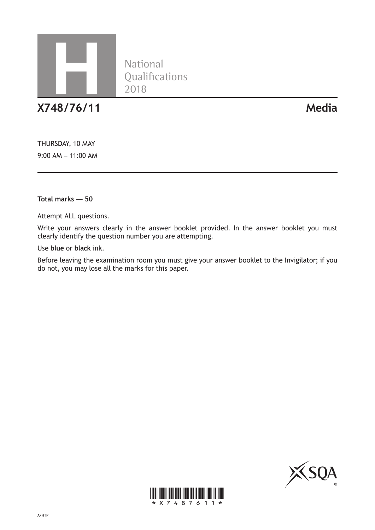

**X748/76/11 Media**

THURSDAY, 10 MAY 9:00 AM – 11:00 AM

**Total marks — 50**

Attempt ALL questions.

Write your answers clearly in the answer booklet provided. In the answer booklet you must clearly identify the question number you are attempting.

National<br>Qualifications

Use **blue** or **black** ink.

Before leaving the examination room you must give your answer booklet to the Invigilator; if you do not, you may lose all the marks for this paper.